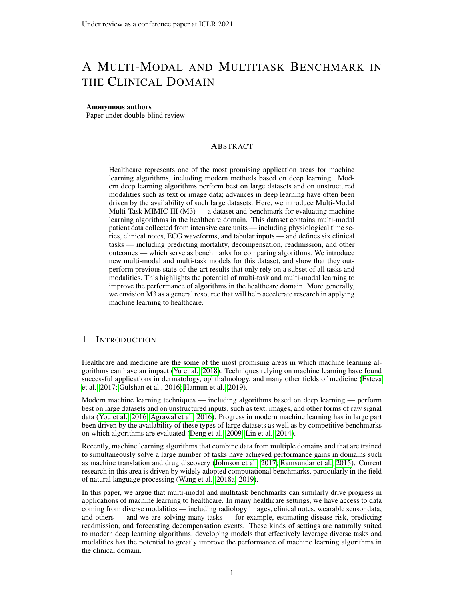# A MULTI-MODAL AND MULTITASK BENCHMARK IN THE CLINICAL DOMAIN

#### Anonymous authors

Paper under double-blind review

# ABSTRACT

Healthcare represents one of the most promising application areas for machine learning algorithms, including modern methods based on deep learning. Modern deep learning algorithms perform best on large datasets and on unstructured modalities such as text or image data; advances in deep learning have often been driven by the availability of such large datasets. Here, we introduce Multi-Modal Multi-Task MIMIC-III (M3) — a dataset and benchmark for evaluating machine learning algorithms in the healthcare domain. This dataset contains multi-modal patient data collected from intensive care units — including physiological time series, clinical notes, ECG waveforms, and tabular inputs — and defines six clinical tasks — including predicting mortality, decompensation, readmission, and other outcomes — which serve as benchmarks for comparing algorithms. We introduce new multi-modal and multi-task models for this dataset, and show that they outperform previous state-of-the-art results that only rely on a subset of all tasks and modalities. This highlights the potential of multi-task and multi-modal learning to improve the performance of algorithms in the healthcare domain. More generally, we envision M3 as a general resource that will help accelerate research in applying machine learning to healthcare.

## 1 INTRODUCTION

Healthcare and medicine are the some of the most promising areas in which machine learning algorithms can have an impact [\(Yu et al., 2018\)](#page-10-0). Techniques relying on machine learning have found successful applications in dermatology, ophthalmology, and many other fields of medicine [\(Esteva](#page-8-0) [et al., 2017;](#page-8-0) [Gulshan et al., 2016;](#page-8-1) [Hannun et al., 2019\)](#page-8-2).

Modern machine learning techniques — including algorithms based on deep learning — perform best on large datasets and on unstructured inputs, such as text, images, and other forms of raw signal data [\(You et al., 2016;](#page-10-1) [Agrawal et al., 2016\)](#page-8-3). Progress in modern machine learning has in large part been driven by the availability of these types of large datasets as well as by competitive benchmarks on which algorithms are evaluated [\(Deng et al., 2009;](#page-8-4) [Lin et al., 2014\)](#page-9-0).

Recently, machine learning algorithms that combine data from multiple domains and that are trained to simultaneously solve a large number of tasks have achieved performance gains in domains such as machine translation and drug discovery [\(Johnson et al., 2017;](#page-8-5) [Ramsundar et al., 2015\)](#page-9-1). Current research in this area is driven by widely adopted computational benchmarks, particularly in the field of natural language processing [\(Wang et al., 2018a;](#page-9-2) [2019\)](#page-9-3).

In this paper, we argue that multi-modal and multitask benchmarks can similarly drive progress in applications of machine learning to healthcare. In many healthcare settings, we have access to data coming from diverse modalities — including radiology images, clinical notes, wearable sensor data, and others — and we are solving many tasks — for example, estimating disease risk, predicting readmission, and forecasting decompensation events. These kinds of settings are naturally suited to modern deep learning algorithms; developing models that effectively leverage diverse tasks and modalities has the potential to greatly improve the performance of machine learning algorithms in the clinical domain.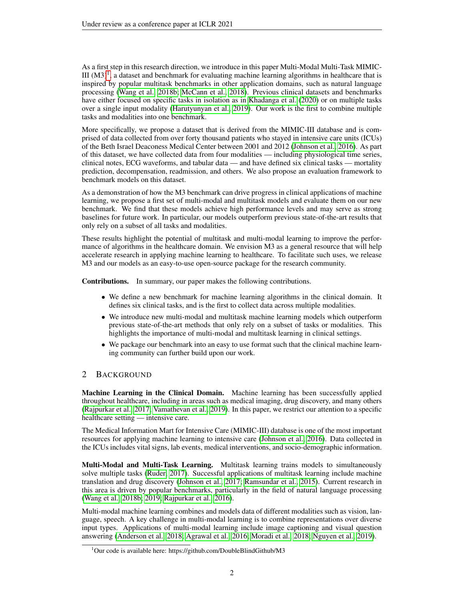As a first step in this research direction, we introduce in this paper Multi-Modal Multi-Task MIMIC-III  $(M3)^1$  $(M3)^1$ , a dataset and benchmark for evaluating machine learning algorithms in healthcare that is inspired by popular multitask benchmarks in other application domains, such as natural language processing [\(Wang et al., 2018b;](#page-9-4) [McCann et al., 2018\)](#page-9-5). Previous clinical datasets and benchmarks have either focused on specific tasks in isolation as in [Khadanga et al.](#page-8-6) [\(2020\)](#page-8-6) or on multiple tasks over a single input modality [\(Harutyunyan et al., 2019\)](#page-8-7). Our work is the first to combine multiple tasks and modalities into one benchmark.

More specifically, we propose a dataset that is derived from the MIMIC-III database and is comprised of data collected from over forty thousand patients who stayed in intensive care units (ICUs) of the Beth Israel Deaconess Medical Center between 2001 and 2012 [\(Johnson et al., 2016\)](#page-8-8). As part of this dataset, we have collected data from four modalities — including physiological time series, clinical notes, ECG waveforms, and tabular data — and have defined six clinical tasks — mortality prediction, decompensation, readmission, and others. We also propose an evaluation framework to benchmark models on this dataset.

As a demonstration of how the M3 benchmark can drive progress in clinical applications of machine learning, we propose a first set of multi-modal and multitask models and evaluate them on our new benchmark. We find that these models achieve high performance levels and may serve as strong baselines for future work. In particular, our models outperform previous state-of-the-art results that only rely on a subset of all tasks and modalities.

These results highlight the potential of multitask and multi-modal learning to improve the performance of algorithms in the healthcare domain. We envision M3 as a general resource that will help accelerate research in applying machine learning to healthcare. To facilitate such uses, we release M3 and our models as an easy-to-use open-source package for the research community.

Contributions. In summary, our paper makes the following contributions.

- We define a new benchmark for machine learning algorithms in the clinical domain. It defines six clinical tasks, and is the first to collect data across multiple modalities.
- We introduce new multi-modal and multitask machine learning models which outperform previous state-of-the-art methods that only rely on a subset of tasks or modalities. This highlights the importance of multi-modal and multitask learning in clinical settings.
- We package our benchmark into an easy to use format such that the clinical machine learning community can further build upon our work.

# 2 BACKGROUND

Machine Learning in the Clinical Domain. Machine learning has been successfully applied throughout healthcare, including in areas such as medical imaging, drug discovery, and many others [\(Rajpurkar et al., 2017;](#page-9-6) [Vamathevan et al., 2019\)](#page-9-7). In this paper, we restrict our attention to a specific healthcare setting — intensive care.

The Medical Information Mart for Intensive Care (MIMIC-III) database is one of the most important resources for applying machine learning to intensive care [\(Johnson et al., 2016\)](#page-8-8). Data collected in the ICUs includes vital signs, lab events, medical interventions, and socio-demographic information.

**Multi-Modal and Multi-Task Learning.** Multitask learning trains models to simultaneously solve multiple tasks [\(Ruder, 2017\)](#page-9-8). Successful applications of multitask learning include machine translation and drug discovery [\(Johnson et al., 2017;](#page-8-5) [Ramsundar et al., 2015\)](#page-9-1). Current research in this area is driven by popular benchmarks, particularly in the field of natural language processing [\(Wang et al., 2018b;](#page-9-4) [2019;](#page-9-3) [Rajpurkar et al., 2016\)](#page-9-9).

Multi-modal machine learning combines and models data of different modalities such as vision, language, speech. A key challenge in multi-modal learning is to combine representations over diverse input types. Applications of multi-modal learning include image captioning and visual question answering [\(Anderson et al., 2018;](#page-8-9) [Agrawal et al., 2016;](#page-8-3) [Moradi et al., 2018;](#page-9-10) [Nguyen et al., 2019\)](#page-9-11).

<span id="page-1-0"></span><sup>&</sup>lt;sup>1</sup>Our code is available here: https://github.com/DoubleBlindGithub/M3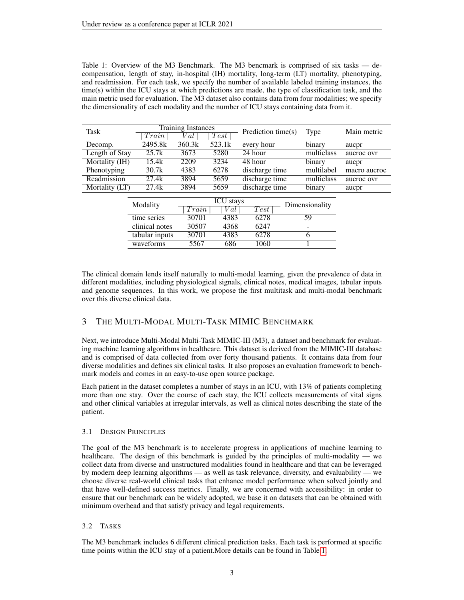<span id="page-2-0"></span>Table 1: Overview of the M3 Benchmark. The M3 bencmark is comprised of six tasks — decompensation, length of stay, in-hospital (IH) mortality, long-term (LT) mortality, phenotyping, and readmission. For each task, we specify the number of available labeled training instances, the time(s) within the ICU stays at which predictions are made, the type of classification task, and the main metric used for evaluation. The M3 dataset also contains data from four modalities; we specify the dimensionality of each modality and the number of ICU stays containing data from it.

| <b>Task</b>    |                | <b>Training Instances</b> |                  | Prediction time(s) | <b>Type</b>    | Main metric  |
|----------------|----------------|---------------------------|------------------|--------------------|----------------|--------------|
|                | Train          | V al                      | Test             |                    |                |              |
| Decomp.        | 2495.8k        | 360.3k                    | 523.1k           | every hour         | binary         | aucpr        |
| Length of Stay | 25.7k          | 3673                      | 5280             | 24 hour            | multiclass     | aucroc ovr   |
| Mortality (IH) | 15.4k          | 2209                      | 3234             | 48 hour            | binary         | aucpr        |
| Phenotyping    | 30.7k          | 4383                      | 6278             | discharge time     | multilabel     | macro aucroc |
| Readmission    | 27.4k          | 3894                      | 5659             | discharge time     | multiclass     | aucroc ovr   |
| Mortality (LT) | 27.4k          | 3894                      | 5659             | discharge time     | binary         | aucpr        |
|                |                |                           |                  |                    |                |              |
|                | Modality       |                           | <b>ICU</b> stays |                    | Dimensionality |              |
|                |                | Train                     | V al             | Test               |                |              |
|                | time series    | 30701                     | 4383             | 6278               | 59             |              |
|                | clinical notes | 30507                     | 4368             | 6247               |                |              |
|                | tabular inputs | 30701                     | 4383             | 6278               | 6              |              |
|                | waveforms      | 5567                      | 686              | 1060               |                |              |
|                |                |                           |                  |                    |                |              |

The clinical domain lends itself naturally to multi-modal learning, given the prevalence of data in different modalities, including physiological signals, clinical notes, medical images, tabular inputs and genome sequences. In this work, we propose the first multitask and multi-modal benchmark over this diverse clinical data.

# 3 THE MULTI-MODAL MULTI-TASK MIMIC BENCHMARK

Next, we introduce Multi-Modal Multi-Task MIMIC-III (M3), a dataset and benchmark for evaluating machine learning algorithms in healthcare. This dataset is derived from the MIMIC-III database and is comprised of data collected from over forty thousand patients. It contains data from four diverse modalities and defines six clinical tasks. It also proposes an evaluation framework to benchmark models and comes in an easy-to-use open source package.

Each patient in the dataset completes a number of stays in an ICU, with 13% of patients completing more than one stay. Over the course of each stay, the ICU collects measurements of vital signs and other clinical variables at irregular intervals, as well as clinical notes describing the state of the patient.

## 3.1 DESIGN PRINCIPLES

The goal of the M3 benchmark is to accelerate progress in applications of machine learning to healthcare. The design of this benchmark is guided by the principles of multi-modality — we collect data from diverse and unstructured modalities found in healthcare and that can be leveraged by modern deep learning algorithms — as well as task relevance, diversity, and evaluability — we choose diverse real-world clinical tasks that enhance model performance when solved jointly and that have well-defined success metrics. Finally, we are concerned with accessibility: in order to ensure that our benchmark can be widely adopted, we base it on datasets that can be obtained with minimum overhead and that satisfy privacy and legal requirements.

## 3.2 TASKS

The M3 benchmark includes 6 different clinical prediction tasks. Each task is performed at specific time points within the ICU stay of a patient.More details can be found in Table [1.](#page-2-0)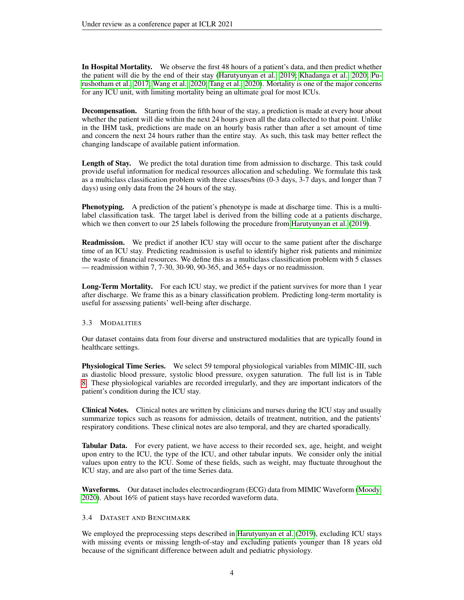In Hospital Mortality. We observe the first 48 hours of a patient's data, and then predict whether the patient will die by the end of their stay [\(Harutyunyan et al., 2019;](#page-8-7) [Khadanga et al., 2020;](#page-8-6) [Pu](#page-9-12)[rushotham et al., 2017;](#page-9-12) [Wang et al., 2020;](#page-10-2) [Tang et al., 2020\)](#page-9-13). Mortality is one of the major concerns for any ICU unit, with limiting mortality being an ultimate goal for most ICUs.

Decompensation. Starting from the fifth hour of the stay, a prediction is made at every hour about whether the patient will die within the next 24 hours given all the data collected to that point. Unlike in the IHM task, predictions are made on an hourly basis rather than after a set amount of time and concern the next 24 hours rather than the entire stay. As such, this task may better reflect the changing landscape of available patient information.

Length of Stay. We predict the total duration time from admission to discharge. This task could provide useful information for medical resources allocation and scheduling. We formulate this task as a multiclass classification problem with three classes/bins (0-3 days, 3-7 days, and longer than 7 days) using only data from the 24 hours of the stay.

**Phenotyping.** A prediction of the patient's phenotype is made at discharge time. This is a multilabel classification task. The target label is derived from the billing code at a patients discharge, which we then convert to our 25 labels following the procedure from [Harutyunyan et al.](#page-8-7) [\(2019\)](#page-8-7).

Readmission. We predict if another ICU stay will occur to the same patient after the discharge time of an ICU stay. Predicting readmission is useful to identify higher risk patients and minimize the waste of financial resources. We define this as a multiclass classification problem with 5 classes — readmission within 7, 7-30, 30-90, 90-365, and 365+ days or no readmission.

Long-Term Mortality. For each ICU stay, we predict if the patient survives for more than 1 year after discharge. We frame this as a binary classification problem. Predicting long-term mortality is useful for assessing patients' well-being after discharge.

## 3.3 MODALITIES

Our dataset contains data from four diverse and unstructured modalities that are typically found in healthcare settings.

Physiological Time Series. We select 59 temporal physiological variables from MIMIC-III, such as diastolic blood pressure, systolic blood pressure, oxygen saturation. The full list is in Table [8.](#page-11-0) These physiological variables are recorded irregularly, and they are important indicators of the patient's condition during the ICU stay.

Clinical Notes. Clinical notes are written by clinicians and nurses during the ICU stay and usually summarize topics such as reasons for admission, details of treatment, nutrition, and the patients' respiratory conditions. These clinical notes are also temporal, and they are charted sporadically.

Tabular Data. For every patient, we have access to their recorded sex, age, height, and weight upon entry to the ICU, the type of the ICU, and other tabular inputs. We consider only the initial values upon entry to the ICU. Some of these fields, such as weight, may fluctuate throughout the ICU stay, and are also part of the time Series data.

Waveforms. Our dataset includes electrocardiogram (ECG) data from MIMIC Waveform [\(Moody,](#page-9-14) [2020\)](#page-9-14). About 16% of patient stays have recorded waveform data.

## 3.4 DATASET AND BENCHMARK

We employed the preprocessing steps described in [Harutyunyan et al.](#page-8-7) [\(2019\)](#page-8-7), excluding ICU stays with missing events or missing length-of-stay and excluding patients younger than 18 years old because of the significant difference between adult and pediatric physiology.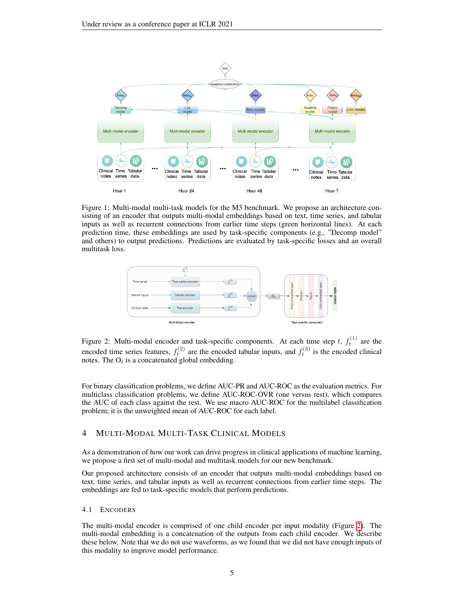<span id="page-4-1"></span>

Figure 1: Multi-modal multi-task models for the M3 benchmark. We propose an architecture consisting of an encoder that outputs multi-modal embeddings based on text, time series, and tabular inputs as well as recurrent connections from earlier time steps (green horizontal lines). At each prediction time, these embeddings are used by task-specific components (e.g., "Decomp model" and others) to output predictions. Predictions are evaluated by task-specific losses and an overall multitask loss.

<span id="page-4-0"></span>

Figure 2: Multi-modal encoder and task-specific components. At each time step t,  $f_t^{(1)}$  are the encoded time series features,  $f_t^{(2)}$  are the encoded tabular inputs, and  $f_t^{(3)}$  is the encoded clinical notes. The  $O_t$  is a concatenated global embedding.

For binary classification problems, we define AUC-PR and AUC-ROC as the evaluation metrics. For multiclass classification problems, we define AUC-ROC-OVR (one versus rest), which compares the AUC of each class against the rest. We use macro AUC-ROC for the multilabel classification problem; it is the unweighted mean of AUC-ROC for each label.

# 4 MULTI-MODAL MULTI-TASK CLINICAL MODELS

As a demonstration of how our work can drive progress in clinical applications of machine learning, we propose a first set of multi-modal and multitask models for our new benchmark.

Our proposed architecture consists of an encoder that outputs multi-modal embeddings based on text, time series, and tabular inputs as well as recurrent connections from earlier time steps. The embeddings are fed to task-specific models that perform predictions.

#### 4.1 ENCODERS

The multi-modal encoder is comprised of one child encoder per input modality (Figure [2\)](#page-4-0). The multi-modal embedding is a concatenation of the outputs from each child encoder. We describe these below. Note that we do not use waveforms, as we found that we did not have enough inputs of this modality to improve model performance.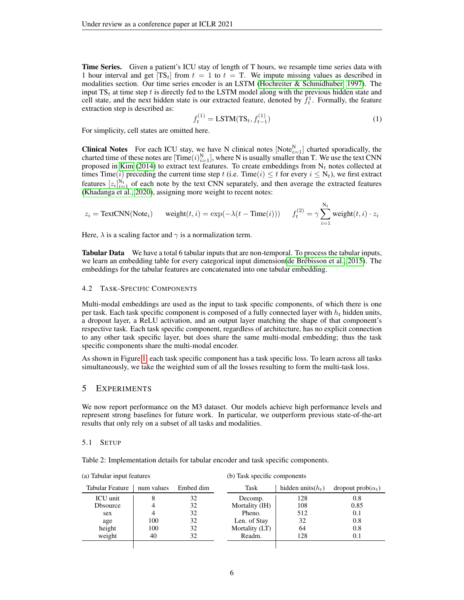**Time Series.** Given a patient's ICU stay of length of T hours, we resample time series data with 1 hour interval and get  $[TS_t]$  from  $t = 1$  to  $t = T$ . We impute missing values as described in modalities section. Our time series encoder is an LSTM [\(Hochreiter & Schmidhuber, 1997\)](#page-8-10). The input  $TS_t$  at time step t is directly fed to the LSTM model along with the previous hidden state and cell state, and the next hidden state is our extracted feature, denoted by  $f_t^1$ . Formally, the feature extraction step is described as:

$$
f_t^{(1)} = \text{LSTM}(\text{TS}_t, f_{t-1}^{(1)})
$$
\n(1)

For simplicity, cell states are omitted here.

**Clinical Notes** For each ICU stay, we have N clinical notes  $[Note_{i=1}^N]$  charted sporadically, the charted time of these notes are  $[\text{Time}(i)_{i=1}^N]$ , where N is usually smaller than T. We use the text CNN proposed in [Kim](#page-9-15) [\(2014\)](#page-9-15) to extract text features. To create embeddings from  $N_t$  notes collected at times Time(*i*) preceding the current time step t (i.e. Time(*i*)  $\leq t$  for every  $i \leq N_t$ ), we first extract features  $[z_i]_{i=1}^{N_t}$  of each note by the text CNN separately, and then average the extracted features [\(Khadanga et al., 2020\)](#page-8-6), assigning more weight to recent notes:

$$
z_i = \text{TextCNN}(\text{Note}_i) \qquad \text{weight}(t, i) = \exp(-\lambda(t - \text{Time}(i))) \qquad f_t^{(2)} = \gamma \sum_{i=1}^{N_t} \text{weight}(t, i) \cdot z_i
$$

Here,  $\lambda$  is a scaling factor and  $\gamma$  is a normalization term.

**Tabular Data** We have a total 6 tabular inputs that are non-temporal. To process the tabular inputs, we learn an embedding table for every categorical input dimension(de Brébisson et al., 2015). The embeddings for the tabular features are concatenated into one tabular embedding.

#### 4.2 TASK-SPECIFIC COMPONENTS

Multi-modal embeddings are used as the input to task specific components, of which there is one per task. Each task specific component is composed of a fully connected layer with  $h_t$  hidden units, a dropout layer, a ReLU activation, and an output layer matching the shape of that component's respective task. Each task specific component, regardless of architecture, has no explicit connection to any other task specific layer, but does share the same multi-modal embedding; thus the task specific components share the multi-modal encoder.

As shown in Figure [1,](#page-4-1) each task specific component has a task specific loss. To learn across all tasks simultaneously, we take the weighted sum of all the losses resulting to form the multi-task loss.

#### 5 EXPERIMENTS

(a) Tabular input features

We now report performance on the M3 dataset. Our models achieve high performance levels and represent strong baselines for future work. In particular, we outperform previous state-of-the-art results that only rely on a subset of all tasks and modalities.

#### 5.1 SETUP

<span id="page-5-0"></span>Table 2: Implementation details for tabular encoder and task specific components.

| $\alpha$ rabana input reading |            |           | $\sigma$ , rask specific components |                      |                          |
|-------------------------------|------------|-----------|-------------------------------------|----------------------|--------------------------|
| Tabular Feature               | num values | Embed dim | Task                                | hidden units $(h_t)$ | dropout $prob(\alpha_t)$ |
| ICU unit                      |            | 32        | Decomp.                             | 128                  | 0.8                      |
| <b>D</b> bsource              |            | 32        | Mortality (IH)                      | 108                  | 0.85                     |
| sex                           |            | 32        | Pheno.                              | 512                  | 0.1                      |
| age                           | 100        | 32        | Len. of Stay                        | 32                   | 0.8                      |
| height                        | 100        | 32        | Mortality (LT)                      | 64                   | 0.8                      |
| weight                        | 40         | 32        | Readm.                              | 128                  | 0.1                      |
|                               |            |           |                                     |                      |                          |

(b) Task specific components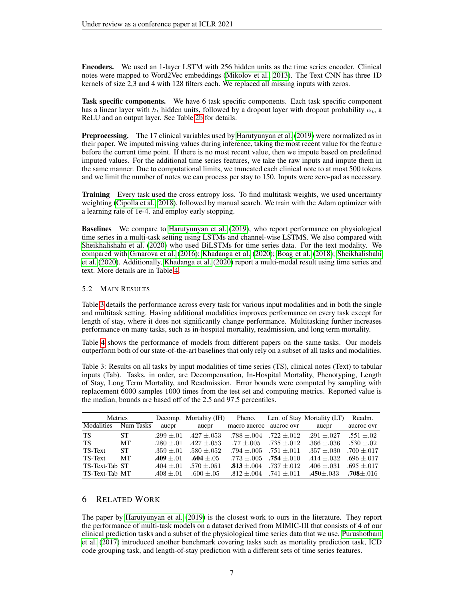Encoders. We used an 1-layer LSTM with 256 hidden units as the time series encoder. Clinical notes were mapped to Word2Vec embeddings [\(Mikolov et al., 2013\)](#page-9-16). The Text CNN has three 1D kernels of size 2,3 and 4 with 128 filters each. We replaced all missing inputs with zeros.

Task specific components. We have 6 task specific components. Each task specific component has a linear layer with  $h_t$  hidden units, followed by a dropout layer with dropout probability  $\alpha_t$ , a ReLU and an output layer. See Table [2b](#page-5-0) for details.

**Preprocessing.** The 17 clinical variables used by [Harutyunyan et al.](#page-8-7) [\(2019\)](#page-8-7) were normalized as in their paper. We imputed missing values during inference, taking the most recent value for the feature before the current time point. If there is no most recent value, then we impute based on predefined imputed values. For the additional time series features, we take the raw inputs and impute them in the same manner. Due to computational limits, we truncated each clinical note to at most 500 tokens and we limit the number of notes we can process per stay to 150. Inputs were zero-pad as necessary.

**Training** Every task used the cross entropy loss. To find multitask weights, we used uncertainty weighting [\(Cipolla et al., 2018\)](#page-8-12), followed by manual search. We train with the Adam optimizer with a learning rate of 1e-4. and employ early stopping.

Baselines We compare to [Harutyunyan et al.](#page-8-7) [\(2019\)](#page-8-7), who report performance on physiological time series in a multi-task setting using LSTMs and channel-wise LSTMS. We also compared with [Sheikhalishahi et al.](#page-9-17) [\(2020\)](#page-9-17) who used BiLSTMs for time series data. For the text modality. We compared with [Grnarova et al.](#page-8-13) [\(2016\)](#page-8-13); [Khadanga et al.](#page-8-6) [\(2020\)](#page-8-6); [Boag et al.](#page-8-14) [\(2018\)](#page-8-14); [Sheikhalishahi](#page-9-17) [et al.](#page-9-17) [\(2020\)](#page-8-6). Additionally, [Khadanga et al.](#page-8-6) (2020) report a multi-modal result using time series and text. More details are in Table [4.](#page-7-0)

#### 5.2 MAIN RESULTS

Table [3](#page-6-0) details the performance across every task for various input modalities and in both the single and multitask setting. Having additional modalities improves performance on every task except for length of stay, where it does not significantly change performance. Multitasking further increases performance on many tasks, such as in-hospital mortality, readmission, and long term mortality.

Table [4](#page-7-0) shows the performance of models from different papers on the same tasks. Our models outperform both of our state-of-the-art baselines that only rely on a subset of all tasks and modalities.

<span id="page-6-0"></span>Table 3: Results on all tasks by input modalities of time series (TS), clinical notes (Text) to tabular inputs (Tab). Tasks, in order, are Decompensation, In-Hospital Mortality, Phenotyping, Length of Stay, Long Term Mortality, and Readmission. Error bounds were computed by sampling with replacement 6000 samples 1000 times from the test set and computing metrics. Reported value is the median, bounds are based off of the 2.5 and 97.5 percentiles.

| Metrics        |           |              | Decomp. Mortality (IH)         | Pheno.          |                 | Len. of Stay Mortality (LT) | Readm.          |
|----------------|-----------|--------------|--------------------------------|-----------------|-----------------|-----------------------------|-----------------|
| Modalities     | Num Tasks | aucpr        | aucpr                          | macro aucroc    | aucroc ovr      | aucpr                       | aucroc ovr      |
| <b>TS</b>      | <b>ST</b> |              | $.299 \pm .01$ $.427 \pm .053$ | $.788 \pm .004$ | $.722 \pm .012$ | $.291 \pm .027$             | $.551 + .02$    |
| TS             | MТ        | $.280 + .01$ | $.427 \pm .053$                | $.77 + .005$    | $.735 \pm .012$ | $.366 \pm .036$             | $.530 \pm .02$  |
| TS-Text        | ST.       | $.359 + .01$ | $.580 + .052$                  | $.794 \pm .005$ | $.751 + .011$   | $.357 + .030$               | $.700 \pm .017$ |
| TS-Text        | MТ        | $.409 + .01$ | $.604 + .05$                   | $.773\pm .005$  | $.754 + .010$   | $.414 \pm .032$             | .696 $\pm$ .017 |
| TS-Text-Tab ST |           | $.404 + .01$ | $.570 + .051$                  | $.813 + .004$   | $.737 + .012$   | $.406 + .031$               | $.695 \pm .017$ |
| TS-Text-Tab MT |           | $.408 + .01$ | $.600 + .05$                   | $.812 + .004$   | .741 $\pm$ .011 | $.450 \pm .033$             | $.708 \pm .016$ |

# 6 RELATED WORK

The paper by [Harutyunyan et al.](#page-8-7) [\(2019\)](#page-8-7) is the closest work to ours in the literature. They report the performance of multi-task models on a dataset derived from MIMIC-III that consists of 4 of our clinical prediction tasks and a subset of the physiological time series data that we use. [Purushotham](#page-9-12) [et al.](#page-9-12) [\(2017\)](#page-9-12) introduced another benchmark covering tasks such as mortality prediction task, ICD code grouping task, and length-of-stay prediction with a different sets of time series features.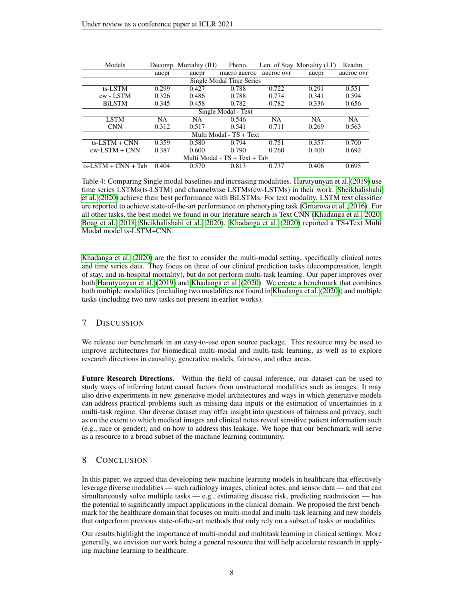<span id="page-7-0"></span>

| Models                 |       | Decomp. Mortality (IH) | Pheno.                        |            | Len. of Stay Mortality (LT) | Readm.     |
|------------------------|-------|------------------------|-------------------------------|------------|-----------------------------|------------|
|                        | aucpr | aucpr                  | macro aucroc                  | aucroc ovr | aucpr                       | aucroc ovr |
|                        |       |                        | Single Modal Time Series      |            |                             |            |
| ts-LSTM                | 0.299 | 0.427                  | 0.788                         | 0.722      | 0.291                       | 0.551      |
| cw - LSTM              | 0.326 | 0.486                  | 0.788                         | 0.774      | 0.341                       | 0.594      |
| <b>BiLSTM</b>          | 0.345 | 0.458                  | 0.782                         | 0.782      | 0.336                       | 0.656      |
|                        |       |                        | Single Modal - Text           |            |                             |            |
| <b>LSTM</b>            | NA    | NA                     | 0.546                         | <b>NA</b>  | <b>NA</b>                   | <b>NA</b>  |
| <b>CNN</b>             | 0.312 | 0.517                  | 0.541                         | 0.711      | 0.269                       | 0.563      |
|                        |       |                        | Multi Modal - TS + Text       |            |                             |            |
| $ts$ -LSTM + CNN       | 0.359 | 0.580                  | 0.794                         | 0.751      | 0.357                       | 0.700      |
| $cw$ -LSTM + CNN       | 0.387 | 0.600                  | 0.790                         | 0.760      | 0.400                       | 0.692      |
|                        |       |                        | Multi Modal - TS + Text + Tab |            |                             |            |
| $ts$ -LSTM + CNN + Tab | 0.404 | 0.570                  | 0.813                         | 0.737      | 0.406                       | 0.695      |

Table 4: Comparing Single modal baselines and increasing modalities. [Harutyunyan et al.](#page-8-7) [\(2019\)](#page-8-7) use time series LSTMs(ts-LSTM) and channelwise LSTMs(cw-LSTMs) in their work. [Sheikhalishahi](#page-9-17) [et al.](#page-9-17) [\(2020\)](#page-9-17) achieve their best performance with BiLSTMs. For text modality. LSTM text classifier are reported to achieve state-of-the-art performance on phenotyping task [\(Grnarova et al., 2016\)](#page-8-13). For all other tasks, the best model we found in our literature search is Text CNN [\(Khadanga et al., 2020;](#page-8-6) [Boag et al., 2018;](#page-8-14) [Sheikhalishahi et al., 2020\)](#page-9-17). [Khadanga et al.](#page-8-6) [\(2020\)](#page-8-6) reported a TS+Text Multi Modal model ts-LSTM+CNN.

[Khadanga et al.](#page-8-6) [\(2020\)](#page-8-6) are the first to consider the multi-modal setting, specifically clinical notes and time series data. They focus on three of our clinical prediction tasks (decompensation, length of stay, and in-hospital mortality), but do not perform multi-task learning. Our paper improves over both [Harutyunyan et al.](#page-8-7) [\(2019\)](#page-8-7) and [Khadanga et al.](#page-8-6) [\(2020\)](#page-8-6). We create a benchmark that combines both multiple modalities (including two modalities not found in [Khadanga et al.](#page-8-6) [\(2020\)](#page-8-6)) and multiple tasks (including two new tasks not present in earlier works).

## 7 DISCUSSION

We release our benchmark in an easy-to-use open source package. This resource may be used to improve architectures for biomedical multi-modal and multi-task learning, as well as to explore research directions in causality, generative models, fairness, and other areas.

Future Research Directions. Within the field of causal inference, our dataset can be used to study ways of inferring latent causal factors from unstructured modalities such as images. It may also drive experiments in new generative model architectures and ways in which generative models can address practical problems such as missing data inputs or the estimation of uncertainties in a multi-task regime. Our diverse dataset may offer insight into questions of fairness and privacy, such as on the extent to which medical images and clinical notes reveal sensitive patient information such (e.g., race or gender), and on how to address this leakage. We hope that our benchmark will serve as a resource to a broad subset of the machine learning community.

## 8 CONCLUSION

In this paper, we argued that developing new machine learning models in healthcare that effectively leverage diverse modalities — such radiology images, clinical notes, and sensor data — and that can simultaneously solve multiple tasks — e.g., estimating disease risk, predicting readmission — has the potential to significantly impact applications in the clinical domain. We proposed the first benchmark for the healthcare domain that focuses on multi-modal and multi-task learning and new models that outperform previous state-of-the-art methods that only rely on a subset of tasks or modalities.

Our results highlight the importance of multi-modal and multitask learning in clinical settings. More generally, we envision our work being a general resource that will help accelerate research in applying machine learning to healthcare.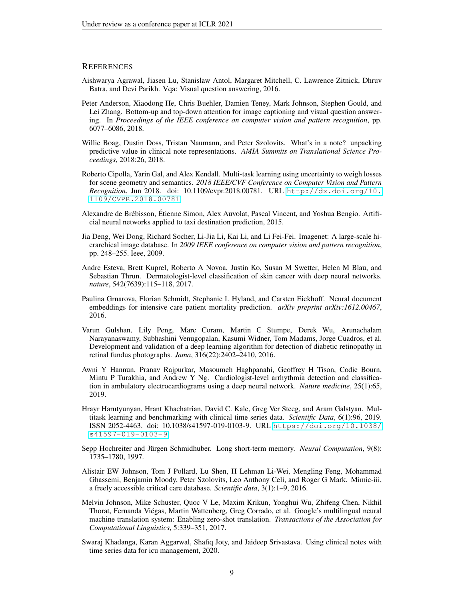### **REFERENCES**

- <span id="page-8-3"></span>Aishwarya Agrawal, Jiasen Lu, Stanislaw Antol, Margaret Mitchell, C. Lawrence Zitnick, Dhruv Batra, and Devi Parikh. Vqa: Visual question answering, 2016.
- <span id="page-8-9"></span>Peter Anderson, Xiaodong He, Chris Buehler, Damien Teney, Mark Johnson, Stephen Gould, and Lei Zhang. Bottom-up and top-down attention for image captioning and visual question answering. In *Proceedings of the IEEE conference on computer vision and pattern recognition*, pp. 6077–6086, 2018.
- <span id="page-8-14"></span>Willie Boag, Dustin Doss, Tristan Naumann, and Peter Szolovits. What's in a note? unpacking predictive value in clinical note representations. *AMIA Summits on Translational Science Proceedings*, 2018:26, 2018.
- <span id="page-8-12"></span>Roberto Cipolla, Yarin Gal, and Alex Kendall. Multi-task learning using uncertainty to weigh losses for scene geometry and semantics. *2018 IEEE/CVF Conference on Computer Vision and Pattern Recognition*, Jun 2018. doi: 10.1109/cvpr.2018.00781. URL [http://dx.doi.org/10.](http://dx.doi.org/10.1109/CVPR.2018.00781) [1109/CVPR.2018.00781](http://dx.doi.org/10.1109/CVPR.2018.00781).
- <span id="page-8-11"></span>Alexandre de Brébisson, Étienne Simon, Alex Auvolat, Pascal Vincent, and Yoshua Bengio. Artificial neural networks applied to taxi destination prediction, 2015.
- <span id="page-8-4"></span>Jia Deng, Wei Dong, Richard Socher, Li-Jia Li, Kai Li, and Li Fei-Fei. Imagenet: A large-scale hierarchical image database. In *2009 IEEE conference on computer vision and pattern recognition*, pp. 248–255. Ieee, 2009.
- <span id="page-8-0"></span>Andre Esteva, Brett Kuprel, Roberto A Novoa, Justin Ko, Susan M Swetter, Helen M Blau, and Sebastian Thrun. Dermatologist-level classification of skin cancer with deep neural networks. *nature*, 542(7639):115–118, 2017.
- <span id="page-8-13"></span>Paulina Grnarova, Florian Schmidt, Stephanie L Hyland, and Carsten Eickhoff. Neural document embeddings for intensive care patient mortality prediction. *arXiv preprint arXiv:1612.00467*, 2016.
- <span id="page-8-1"></span>Varun Gulshan, Lily Peng, Marc Coram, Martin C Stumpe, Derek Wu, Arunachalam Narayanaswamy, Subhashini Venugopalan, Kasumi Widner, Tom Madams, Jorge Cuadros, et al. Development and validation of a deep learning algorithm for detection of diabetic retinopathy in retinal fundus photographs. *Jama*, 316(22):2402–2410, 2016.
- <span id="page-8-2"></span>Awni Y Hannun, Pranav Rajpurkar, Masoumeh Haghpanahi, Geoffrey H Tison, Codie Bourn, Mintu P Turakhia, and Andrew Y Ng. Cardiologist-level arrhythmia detection and classification in ambulatory electrocardiograms using a deep neural network. *Nature medicine*, 25(1):65, 2019.
- <span id="page-8-7"></span>Hrayr Harutyunyan, Hrant Khachatrian, David C. Kale, Greg Ver Steeg, and Aram Galstyan. Multitask learning and benchmarking with clinical time series data. *Scientific Data*, 6(1):96, 2019. ISSN 2052-4463. doi: 10.1038/s41597-019-0103-9. URL [https://doi.org/10.1038/](https://doi.org/10.1038/s41597-019-0103-9) [s41597-019-0103-9](https://doi.org/10.1038/s41597-019-0103-9).
- <span id="page-8-10"></span>Sepp Hochreiter and Jürgen Schmidhuber. Long short-term memory. *Neural Computation*, 9(8): 1735–1780, 1997.
- <span id="page-8-8"></span>Alistair EW Johnson, Tom J Pollard, Lu Shen, H Lehman Li-Wei, Mengling Feng, Mohammad Ghassemi, Benjamin Moody, Peter Szolovits, Leo Anthony Celi, and Roger G Mark. Mimic-iii, a freely accessible critical care database. *Scientific data*, 3(1):1–9, 2016.
- <span id="page-8-5"></span>Melvin Johnson, Mike Schuster, Quoc V Le, Maxim Krikun, Yonghui Wu, Zhifeng Chen, Nikhil Thorat, Fernanda Viegas, Martin Wattenberg, Greg Corrado, et al. Google's multilingual neural ´ machine translation system: Enabling zero-shot translation. *Transactions of the Association for Computational Linguistics*, 5:339–351, 2017.
- <span id="page-8-6"></span>Swaraj Khadanga, Karan Aggarwal, Shafiq Joty, and Jaideep Srivastava. Using clinical notes with time series data for icu management, 2020.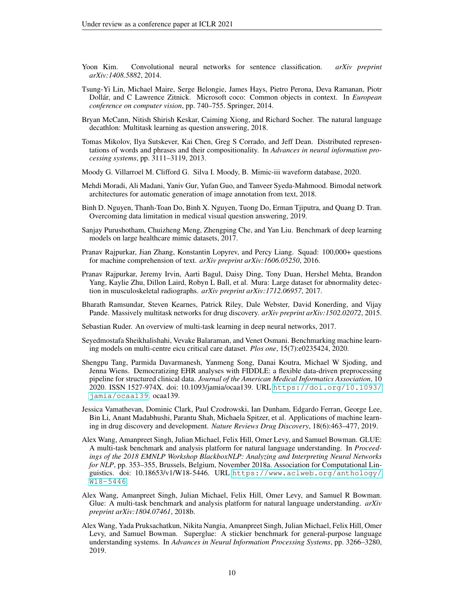- <span id="page-9-15"></span>Yoon Kim. Convolutional neural networks for sentence classification. *arXiv preprint arXiv:1408.5882*, 2014.
- <span id="page-9-0"></span>Tsung-Yi Lin, Michael Maire, Serge Belongie, James Hays, Pietro Perona, Deva Ramanan, Piotr Dollar, and C Lawrence Zitnick. Microsoft coco: Common objects in context. In ´ *European conference on computer vision*, pp. 740–755. Springer, 2014.
- <span id="page-9-5"></span>Bryan McCann, Nitish Shirish Keskar, Caiming Xiong, and Richard Socher. The natural language decathlon: Multitask learning as question answering, 2018.
- <span id="page-9-16"></span>Tomas Mikolov, Ilya Sutskever, Kai Chen, Greg S Corrado, and Jeff Dean. Distributed representations of words and phrases and their compositionality. In *Advances in neural information processing systems*, pp. 3111–3119, 2013.
- <span id="page-9-14"></span>Moody G. Villarroel M. Clifford G. Silva I. Moody, B. Mimic-iii waveform database, 2020.
- <span id="page-9-10"></span>Mehdi Moradi, Ali Madani, Yaniv Gur, Yufan Guo, and Tanveer Syeda-Mahmood. Bimodal network architectures for automatic generation of image annotation from text, 2018.
- <span id="page-9-11"></span>Binh D. Nguyen, Thanh-Toan Do, Binh X. Nguyen, Tuong Do, Erman Tjiputra, and Quang D. Tran. Overcoming data limitation in medical visual question answering, 2019.
- <span id="page-9-12"></span>Sanjay Purushotham, Chuizheng Meng, Zhengping Che, and Yan Liu. Benchmark of deep learning models on large healthcare mimic datasets, 2017.
- <span id="page-9-9"></span>Pranav Rajpurkar, Jian Zhang, Konstantin Lopyrev, and Percy Liang. Squad: 100,000+ questions for machine comprehension of text. *arXiv preprint arXiv:1606.05250*, 2016.
- <span id="page-9-6"></span>Pranav Rajpurkar, Jeremy Irvin, Aarti Bagul, Daisy Ding, Tony Duan, Hershel Mehta, Brandon Yang, Kaylie Zhu, Dillon Laird, Robyn L Ball, et al. Mura: Large dataset for abnormality detection in musculoskeletal radiographs. *arXiv preprint arXiv:1712.06957*, 2017.
- <span id="page-9-1"></span>Bharath Ramsundar, Steven Kearnes, Patrick Riley, Dale Webster, David Konerding, and Vijay Pande. Massively multitask networks for drug discovery. *arXiv preprint arXiv:1502.02072*, 2015.
- <span id="page-9-8"></span>Sebastian Ruder. An overview of multi-task learning in deep neural networks, 2017.
- <span id="page-9-17"></span>Seyedmostafa Sheikhalishahi, Vevake Balaraman, and Venet Osmani. Benchmarking machine learning models on multi-centre eicu critical care dataset. *Plos one*, 15(7):e0235424, 2020.
- <span id="page-9-13"></span>Shengpu Tang, Parmida Davarmanesh, Yanmeng Song, Danai Koutra, Michael W Sjoding, and Jenna Wiens. Democratizing EHR analyses with FIDDLE: a flexible data-driven preprocessing pipeline for structured clinical data. *Journal of the American Medical Informatics Association*, 10 2020. ISSN 1527-974X. doi: 10.1093/jamia/ocaa139. URL [https://doi.org/10.1093/](https://doi.org/10.1093/jamia/ocaa139) [jamia/ocaa139](https://doi.org/10.1093/jamia/ocaa139). ocaa139.
- <span id="page-9-7"></span>Jessica Vamathevan, Dominic Clark, Paul Czodrowski, Ian Dunham, Edgardo Ferran, George Lee, Bin Li, Anant Madabhushi, Parantu Shah, Michaela Spitzer, et al. Applications of machine learning in drug discovery and development. *Nature Reviews Drug Discovery*, 18(6):463–477, 2019.
- <span id="page-9-2"></span>Alex Wang, Amanpreet Singh, Julian Michael, Felix Hill, Omer Levy, and Samuel Bowman. GLUE: A multi-task benchmark and analysis platform for natural language understanding. In *Proceedings of the 2018 EMNLP Workshop BlackboxNLP: Analyzing and Interpreting Neural Networks for NLP*, pp. 353–355, Brussels, Belgium, November 2018a. Association for Computational Linguistics. doi: 10.18653/v1/W18-5446. URL [https://www.aclweb.org/anthology/](https://www.aclweb.org/anthology/W18-5446) [W18-5446](https://www.aclweb.org/anthology/W18-5446).
- <span id="page-9-4"></span>Alex Wang, Amanpreet Singh, Julian Michael, Felix Hill, Omer Levy, and Samuel R Bowman. Glue: A multi-task benchmark and analysis platform for natural language understanding. *arXiv preprint arXiv:1804.07461*, 2018b.
- <span id="page-9-3"></span>Alex Wang, Yada Pruksachatkun, Nikita Nangia, Amanpreet Singh, Julian Michael, Felix Hill, Omer Levy, and Samuel Bowman. Superglue: A stickier benchmark for general-purpose language understanding systems. In *Advances in Neural Information Processing Systems*, pp. 3266–3280, 2019.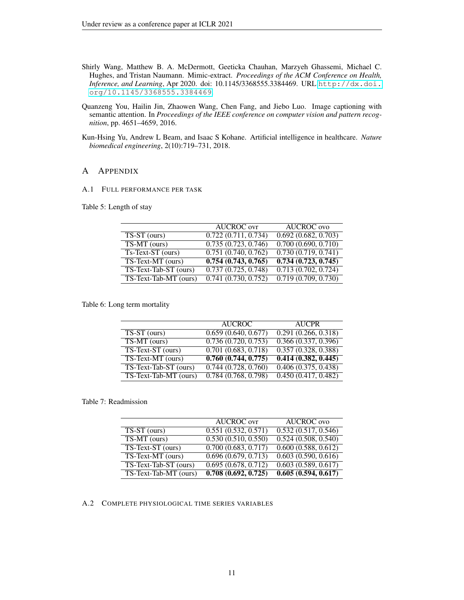- <span id="page-10-2"></span>Shirly Wang, Matthew B. A. McDermott, Geeticka Chauhan, Marzyeh Ghassemi, Michael C. Hughes, and Tristan Naumann. Mimic-extract. *Proceedings of the ACM Conference on Health, Inference, and Learning*, Apr 2020. doi: 10.1145/3368555.3384469. URL [http://dx.doi.](http://dx.doi.org/10.1145/3368555.3384469) [org/10.1145/3368555.3384469](http://dx.doi.org/10.1145/3368555.3384469).
- <span id="page-10-1"></span>Quanzeng You, Hailin Jin, Zhaowen Wang, Chen Fang, and Jiebo Luo. Image captioning with semantic attention. In *Proceedings of the IEEE conference on computer vision and pattern recognition*, pp. 4651–4659, 2016.
- <span id="page-10-0"></span>Kun-Hsing Yu, Andrew L Beam, and Isaac S Kohane. Artificial intelligence in healthcare. *Nature biomedical engineering*, 2(10):719–731, 2018.

## A APPENDIX

#### A.1 FULL PERFORMANCE PER TASK

Table 5: Length of stay

|                       | <b>AUCROC</b> ovr                | <b>AUCROC</b> ovo                |
|-----------------------|----------------------------------|----------------------------------|
| $TS-ST$ (ours)        | 0.722(0.711, 0.734)              | $\overline{0.692(0.682, 0.703)}$ |
| $TS-MT$ (ours)        | 0.735(0.723, 0.746)              | 0.700(0.690, 0.710)              |
| $Ts-Text-ST(ours)$    | $\overline{0.751(0.740, 0.762)}$ | 0.730(0.719, 0.741)              |
| TS-Text-MT (ours)     | $\overline{0.754(0.743, 0.765)}$ | $\overline{0.734(0.723, 0.745)}$ |
| TS-Text-Tab-ST (ours) | 0.737(0.725, 0.748)              | 0.713(0.702, 0.724)              |
| TS-Text-Tab-MT (ours) | 0.741(0.730, 0.752)              | $\overline{0.719(0.709, 0.730)}$ |

Table 6: Long term mortality

|                       | <b>AUCROC</b>                    | <b>AUCPR</b>                     |
|-----------------------|----------------------------------|----------------------------------|
| $TS-ST$ (ours)        | 0.659(0.640, 0.677)              | 0.291(0.266, 0.318)              |
| TS-MT (ours)          | 0.736(0.720, 0.753)              | 0.366(0.337, 0.396)              |
| TS-Text-ST (ours)     | $\overline{0.701(0.683, 0.718)}$ | $\overline{0.357(0.328, 0.388)}$ |
| TS-Text-MT (ours)     | 0.760(0.744, 0.775)              | $\overline{0.414(0.382, 0.445)}$ |
| TS-Text-Tab-ST (ours) | 0.744(0.728, 0.760)              | 0.406(0.375, 0.438)              |
| TS-Text-Tab-MT (ours) | $\overline{0.784(0.768, 0.798)}$ | 0.450(0.417, 0.482)              |

#### Table 7: Readmission

|                       | <b>AUCROC</b> ovr   | <b>AUCROC</b> ovo                |
|-----------------------|---------------------|----------------------------------|
| $TS-ST$ (ours)        | 0.551(0.532, 0.571) | $\overline{0.532(0.517, 0.546)}$ |
| TS-MT (ours)          | 0.530(0.510, 0.550) | 0.524(0.508, 0.540)              |
| TS-Text-ST (ours)     | 0.700(0.683, 0.717) | 0.600(0.588, 0.612)              |
| TS-Text-MT (ours)     | 0.696(0.679, 0.713) | 0.603(0.590, 0.616)              |
| TS-Text-Tab-ST (ours) | 0.695(0.678, 0.712) | 0.603(0.589, 0.617)              |
| TS-Text-Tab-MT (ours) | 0.708(0.692, 0.725) | 0.605(0.594, 0.617)              |

### A.2 COMPLETE PHYSIOLOGICAL TIME SERIES VARIABLES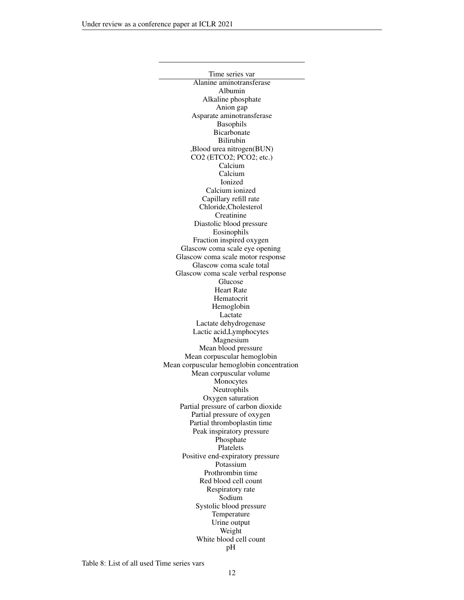<span id="page-11-0"></span>Time series var Alanine aminotransferase Albumin Alkaline phosphate Anion gap Asparate aminotransferase Basophils Bicarbonate Bilirubin ,Blood urea nitrogen(BUN) CO2 (ETCO2; PCO2; etc.) Calcium Calcium Ionized Calcium ionized Capillary refill rate Chloride,Cholesterol Creatinine Diastolic blood pressure Eosinophils Fraction inspired oxygen Glascow coma scale eye opening Glascow coma scale motor response Glascow coma scale total Glascow coma scale verbal response Glucose Heart Rate Hematocrit Hemoglobin Lactate Lactate dehydrogenase Lactic acid,Lymphocytes Magnesium Mean blood pressure Mean corpuscular hemoglobin Mean corpuscular hemoglobin concentration Mean corpuscular volume Monocytes Neutrophils Oxygen saturation Partial pressure of carbon dioxide Partial pressure of oxygen Partial thromboplastin time Peak inspiratory pressure Phosphate Platelets Positive end-expiratory pressure Potassium Prothrombin time Red blood cell count Respiratory rate Sodium Systolic blood pressure Temperature Urine output Weight White blood cell count pH

Table 8: List of all used Time series vars